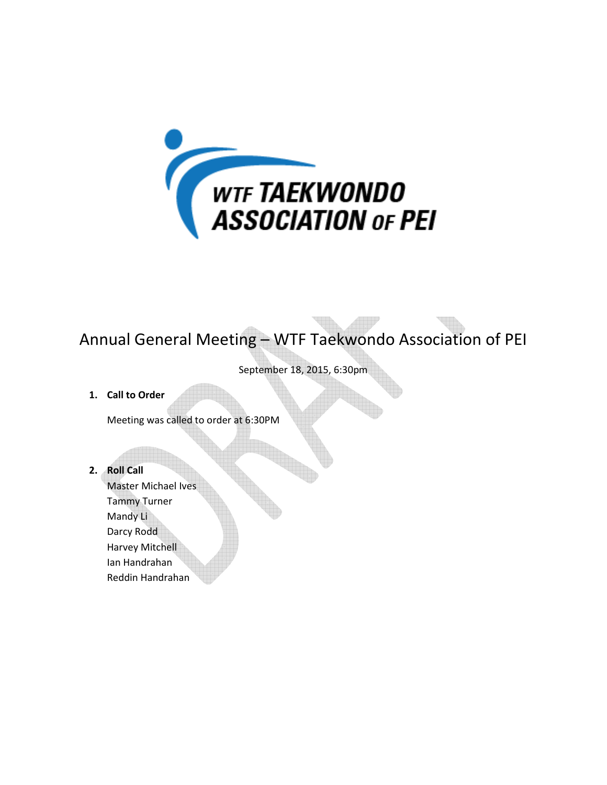

# Annual General Meeting – WTF Taekwondo Association of PEI

September 18, 2015, 6:30pm

**1. Call to Order** 

Meeting was called to order at 6:30PM

**2. Roll Call** 

Master Michael Ives Tammy Turner Mandy Li Darcy Rodd Harvey Mitchell Ian Handrahan Reddin Handrahan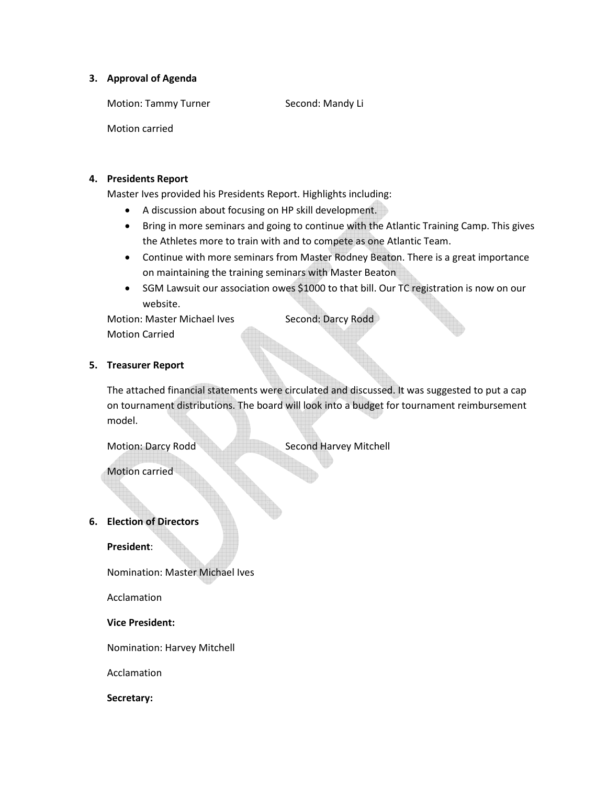## **3. Approval of Agenda**

Motion: Tammy Turner Second: Mandy Li

Motion carried

# **4. Presidents Report**

Master Ives provided his Presidents Report. Highlights including:

- A discussion about focusing on HP skill development.
- Bring in more seminars and going to continue with the Atlantic Training Camp. This gives the Athletes more to train with and to compete as one Atlantic Team.
- Continue with more seminars from Master Rodney Beaton. There is a great importance on maintaining the training seminars with Master Beaton
- SGM Lawsuit our association owes \$1000 to that bill. Our TC registration is now on our website.

Motion: Master Michael Ives Second: Darcy Rodd Motion Carried

# **5. Treasurer Report**

The attached financial statements were circulated and discussed. It was suggested to put a cap on tournament distributions. The board will look into a budget for tournament reimbursement model.

Motion: Darcy Rodd Second Harvey Mitchell

Motion carried

# **6. Election of Directors**

**President**:

Nomination: Master Michael Ives

Acclamation

**Vice President:** 

Nomination: Harvey Mitchell

Acclamation

**Secretary:**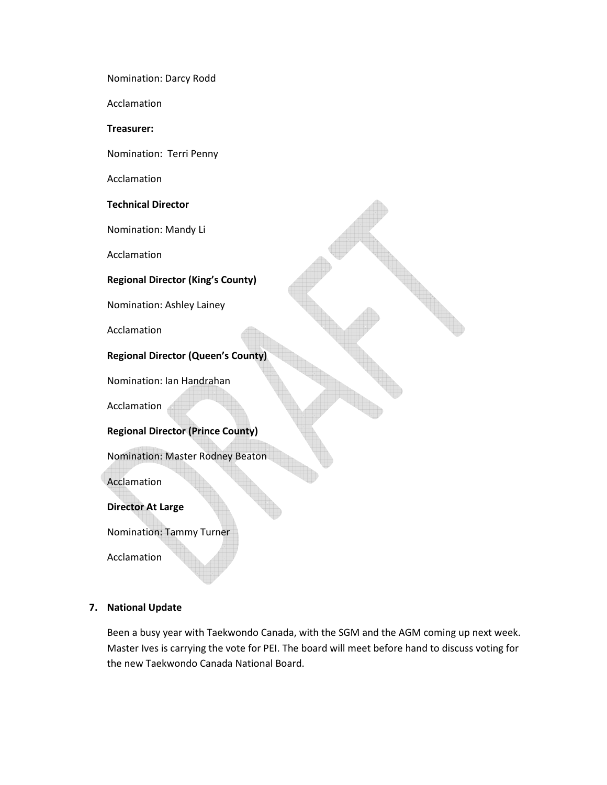Nomination: Darcy Rodd

Acclamation

**Treasurer:** 

Nomination: Terri Penny

Acclamation

#### **Technical Director**

Nomination: Mandy Li

Acclamation

**Regional Director (King's County)** 

Nomination: Ashley Lainey

Acclamation

**Regional Director (Queen's County)** 

Nomination: Ian Handrahan

Acclamation

# **Regional Director (Prince County)**

Nomination: Master Rodney Beaton

Acclamation

## **Director At Large**

Nomination: Tammy Turner

Acclamation

## **7. National Update**

Been a busy year with Taekwondo Canada, with the SGM and the AGM coming up next week. Master Ives is carrying the vote for PEI. The board will meet before hand to discuss voting for the new Taekwondo Canada National Board.